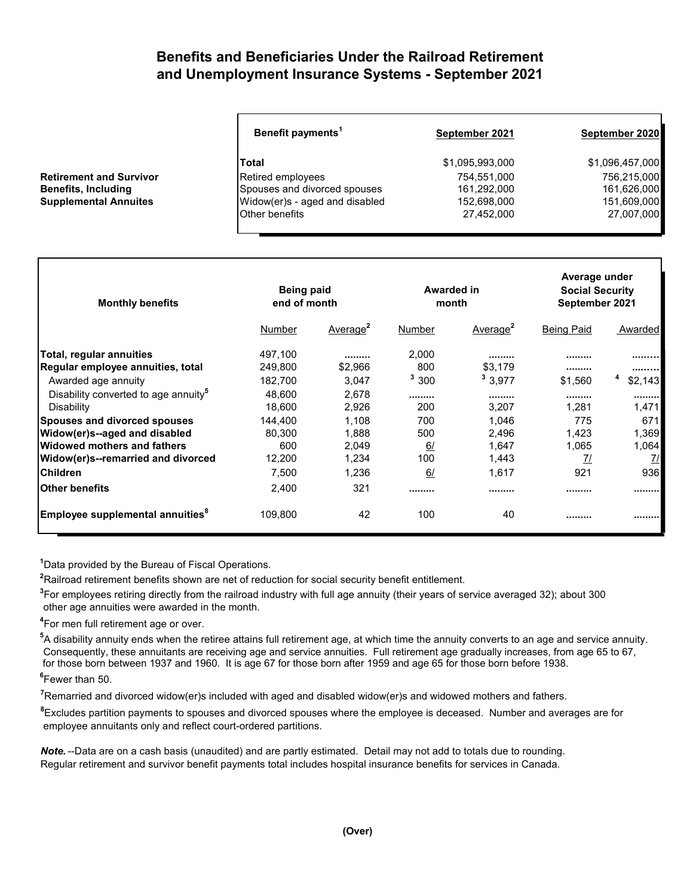## **Benefits and Beneficiaries Under the Railroad Retirement and Unemployment Insurance Systems - September 2021**

| Benefit payments <sup>1</sup> | September 2021                                                                      | September 2020  |
|-------------------------------|-------------------------------------------------------------------------------------|-----------------|
| Total                         | \$1,095,993,000                                                                     | \$1,096,457,000 |
|                               | 754,551,000                                                                         | 756,215,000     |
|                               | 161,292,000                                                                         | 161,626,000     |
|                               | 152,698,000                                                                         | 151,609,000     |
| Other benefits                | 27,452,000                                                                          | 27,007,000      |
|                               | Retired employees<br>Spouses and divorced spouses<br>Widow(er)s - aged and disabled |                 |

| <b>Monthly benefits</b>                          | Being paid<br>end of month |                      | Awarded in<br>month |                      | Average under<br><b>Social Security</b><br>September 2021 |               |
|--------------------------------------------------|----------------------------|----------------------|---------------------|----------------------|-----------------------------------------------------------|---------------|
|                                                  | Number                     | Average <sup>2</sup> | Number              | Average <sup>2</sup> | <b>Being Paid</b>                                         | Awarded       |
| Total, regular annuities                         | 497,100                    |                      | 2,000               |                      |                                                           |               |
| Regular employee annuities, total                | 249,800                    | \$2,966              | 800                 | \$3.179              |                                                           |               |
| Awarded age annuity                              | 182,700                    | 3,047                | 3,300               | 3,977                | \$1,560                                                   | 4<br>\$2,143  |
| Disability converted to age annuity <sup>5</sup> | 48.600                     | 2,678                |                     |                      |                                                           |               |
| Disability                                       | 18.600                     | 2,926                | 200                 | 3.207                | 1.281                                                     | 1,471         |
| <b>Spouses and divorced spouses</b>              | 144.400                    | 1,108                | 700                 | 1,046                | 775                                                       | 671           |
| Widow(er)s--aged and disabled                    | 80,300                     | 1,888                | 500                 | 2,496                | 1,423                                                     | 1,369         |
| lWidowed mothers and fathers                     | 600                        | 2,049                | <u>6/</u>           | 1.647                | 1,065                                                     | 1,064         |
| Widow(er)s--remarried and divorced               | 12,200                     | 1,234                | 100                 | 1,443                | <u>7/</u>                                                 | $\frac{7}{2}$ |
| <b>Children</b>                                  | 7,500                      | 1,236                | 6/                  | 1,617                | 921                                                       | 936           |
| <b>Other benefits</b>                            | 2,400                      | 321                  |                     |                      |                                                           |               |
| Employee supplemental annuities <sup>8</sup>     | 109,800                    | 42                   | 100                 | 40                   |                                                           |               |

**<sup>1</sup>**Data provided by the Bureau of Fiscal Operations.

**<sup>2</sup>**Railroad retirement benefits shown are net of reduction for social security benefit entitlement.

**3** For employees retiring directly from the railroad industry with full age annuity (their years of service averaged 32); about 300 other age annuities were awarded in the month.

**4** For men full retirement age or over.

**Retirement and Survivor Benefits, Including Supplemental Annuites** 

**<sup>5</sup>**A disability annuity ends when the retiree attains full retirement age, at which time the annuity converts to an age and service annuity. Consequently, these annuitants are receiving age and service annuities. Full retirement age gradually increases, from age 65 to 67, for those born between 1937 and 1960. It is age 67 for those born after 1959 and age 65 for those born before 1938.

**6** Fewer than 50.

**<sup>7</sup>**Remarried and divorced widow(er)s included with aged and disabled widow(er)s and widowed mothers and fathers.

**<sup>8</sup>**Excludes partition payments to spouses and divorced spouses where the employee is deceased. Number and averages are for employee annuitants only and reflect court-ordered partitions.

*Note.* --Data are on a cash basis (unaudited) and are partly estimated. Detail may not add to totals due to rounding. Regular retirement and survivor benefit payments total includes hospital insurance benefits for services in Canada.